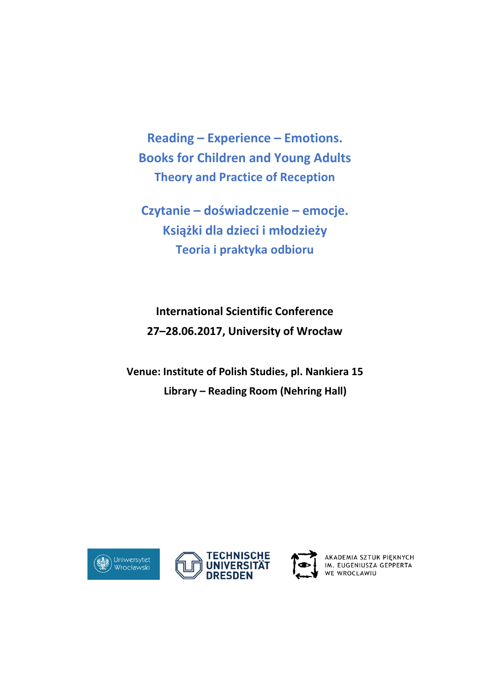**Reading – Experience – Emotions. Books for Children and Young Adults Theory and Practice of Reception**

**Czytanie – doświadczenie – emocje. Książki dla dzieci i młodzieży Teoria i praktyka odbioru**

**International Scientific Conference 27–28.06.2017, University of Wrocław**

**Venue: Institute of Polish Studies, pl. Nankiera 15 Library – Reading Room (Nehring Hall)**





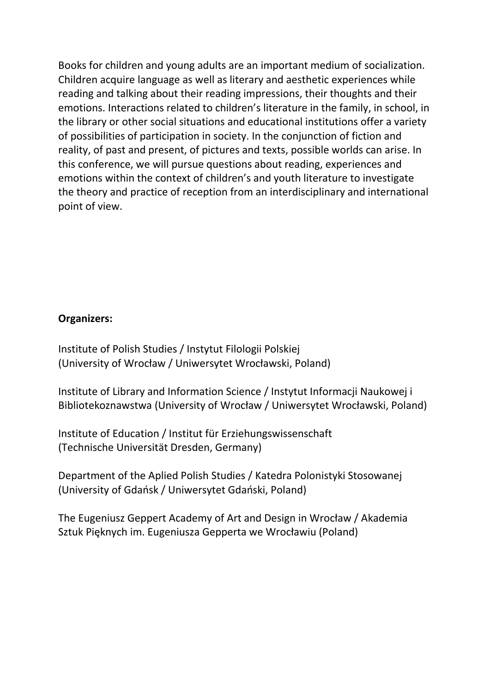Books for children and young adults are an important medium of socialization. Children acquire language as well as literary and aesthetic experiences while reading and talking about their reading impressions, their thoughts and their emotions. Interactions related to children's literature in the family, in school, in the library or other social situations and educational institutions offer a variety of possibilities of participation in society. In the conjunction of fiction and reality, of past and present, of pictures and texts, possible worlds can arise. In this conference, we will pursue questions about reading, experiences and emotions within the context of children's and youth literature to investigate the theory and practice of reception from an interdisciplinary and international point of view.

## **Organizers:**

Institute of Polish Studies / Instytut Filologii Polskiej (University of Wrocław / Uniwersytet Wrocławski, Poland)

Institute of Library and Information Science / Instytut Informacji Naukowej i Bibliotekoznawstwa (University of Wrocław / Uniwersytet Wrocławski, Poland)

Institute of Education / Institut für Erziehungswissenschaft (Technische Universität Dresden, Germany)

Department of the Aplied Polish Studies / Katedra Polonistyki Stosowanej (University of Gdańsk / Uniwersytet Gdański, Poland)

The Eugeniusz Geppert Academy of Art and Design in Wrocław / Akademia Sztuk Pięknych im. Eugeniusza Gepperta we Wrocławiu (Poland)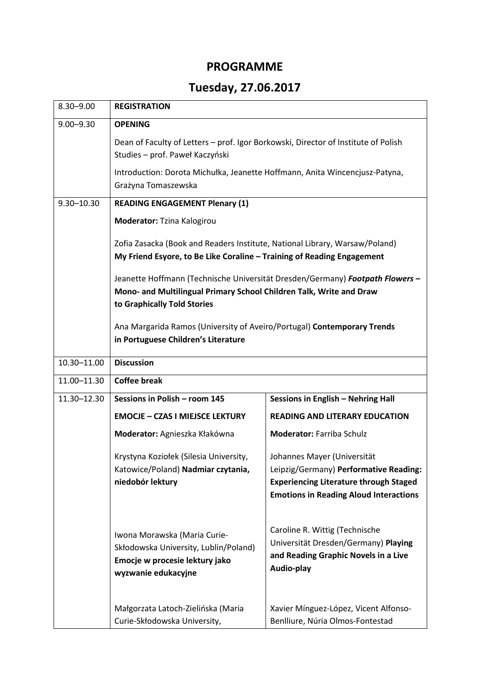## **PROGRAMME**

## **Tuesday, 27.06.2017**

| $8.30 - 9.00$  | <b>REGISTRATION</b>                                                                                                                                                                                                                                                                                                                                                                                                                                            |                                                                                                                                                                         |
|----------------|----------------------------------------------------------------------------------------------------------------------------------------------------------------------------------------------------------------------------------------------------------------------------------------------------------------------------------------------------------------------------------------------------------------------------------------------------------------|-------------------------------------------------------------------------------------------------------------------------------------------------------------------------|
| $9.00 - 9.30$  | <b>OPENING</b>                                                                                                                                                                                                                                                                                                                                                                                                                                                 |                                                                                                                                                                         |
|                | Dean of Faculty of Letters - prof. Igor Borkowski, Director of Institute of Polish<br>Studies - prof. Paweł Kaczyński                                                                                                                                                                                                                                                                                                                                          |                                                                                                                                                                         |
|                | Introduction: Dorota Michułka, Jeanette Hoffmann, Anita Wincencjusz-Patyna,<br>Grażyna Tomaszewska                                                                                                                                                                                                                                                                                                                                                             |                                                                                                                                                                         |
| $9.30 - 10.30$ | <b>READING ENGAGEMENT Plenary (1)</b>                                                                                                                                                                                                                                                                                                                                                                                                                          |                                                                                                                                                                         |
|                | Moderator: Tzina Kalogirou                                                                                                                                                                                                                                                                                                                                                                                                                                     |                                                                                                                                                                         |
|                | Zofia Zasacka (Book and Readers Institute, National Library, Warsaw/Poland)<br>My Friend Esyore, to Be Like Coraline - Training of Reading Engagement<br>Jeanette Hoffmann (Technische Universität Dresden/Germany) Footpath Flowers -<br>Mono- and Multilingual Primary School Children Talk, Write and Draw<br>to Graphically Told Stories<br>Ana Margarida Ramos (University of Aveiro/Portugal) Contemporary Trends<br>in Portuguese Children's Literature |                                                                                                                                                                         |
|                |                                                                                                                                                                                                                                                                                                                                                                                                                                                                |                                                                                                                                                                         |
|                |                                                                                                                                                                                                                                                                                                                                                                                                                                                                |                                                                                                                                                                         |
| 10.30-11.00    | <b>Discussion</b>                                                                                                                                                                                                                                                                                                                                                                                                                                              |                                                                                                                                                                         |
| 11.00-11.30    | <b>Coffee break</b>                                                                                                                                                                                                                                                                                                                                                                                                                                            |                                                                                                                                                                         |
| 11.30-12.30    | Sessions in Polish - room 145<br>Sessions in English - Nehring Hall                                                                                                                                                                                                                                                                                                                                                                                            |                                                                                                                                                                         |
|                | <b>EMOCJE - CZAS I MIEJSCE LEKTURY</b>                                                                                                                                                                                                                                                                                                                                                                                                                         | <b>READING AND LITERARY EDUCATION</b>                                                                                                                                   |
|                | Moderator: Agnieszka Kłakówna                                                                                                                                                                                                                                                                                                                                                                                                                                  | <b>Moderator: Farriba Schulz</b>                                                                                                                                        |
|                | Krystyna Koziołek (Silesia University,<br>Katowice/Poland) Nadmiar czytania,<br>niedobór lektury                                                                                                                                                                                                                                                                                                                                                               | Johannes Mayer (Universität<br>Leipzig/Germany) Performative Reading:<br><b>Experiencing Literature through Staged</b><br><b>Emotions in Reading Aloud Interactions</b> |
|                | Iwona Morawska (Maria Curie-<br>Skłodowska University, Lublin/Poland)<br>Emocje w procesie lektury jako<br>wyzwanie edukacyjne                                                                                                                                                                                                                                                                                                                                 | Caroline R. Wittig (Technische<br>Universität Dresden/Germany) Playing<br>and Reading Graphic Novels in a Live<br>Audio-play                                            |
|                | Małgorzata Latoch-Zielińska (Maria<br>Curie-Skłodowska University,                                                                                                                                                                                                                                                                                                                                                                                             | Xavier Mínguez-López, Vicent Alfonso-<br>Benlliure, Núria Olmos-Fontestad                                                                                               |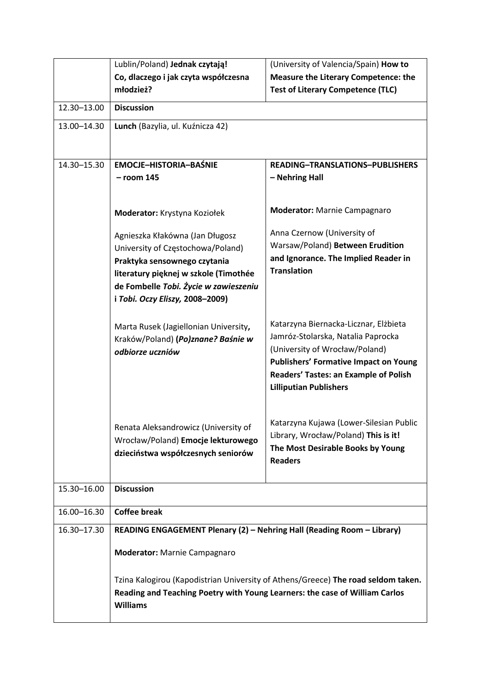| Co, dlaczego i jak czyta współczesna<br><b>Measure the Literary Competence: the</b><br>młodzież?<br><b>Test of Literary Competence (TLC)</b><br>12.30-13.00<br><b>Discussion</b><br>13.00-14.30<br>Lunch (Bazylia, ul. Kuźnicza 42)<br>14.30-15.30<br><b>EMOCJE-HISTORIA-BAŚNIE</b><br><b>READING-TRANSLATIONS-PUBLISHERS</b><br>$-$ room 145<br>- Nehring Hall<br><b>Moderator:</b> Marnie Campagnaro<br>Moderator: Krystyna Koziołek<br>Anna Czernow (University of<br>Agnieszka Kłakówna (Jan Długosz<br>Warsaw/Poland) Between Erudition<br>University of Częstochowa/Poland)<br>and Ignorance. The Implied Reader in<br>Praktyka sensownego czytania<br><b>Translation</b><br>literatury pięknej w szkole (Timothée<br>de Fombelle Tobi. Życie w zawieszeniu<br>i Tobi. Oczy Eliszy, 2008-2009)<br>Katarzyna Biernacka-Licznar, Elżbieta<br>Marta Rusek (Jagiellonian University,<br>Jamróz-Stolarska, Natalia Paprocka<br>Kraków/Poland) (Po)znane? Baśnie w<br>(University of Wrocław/Poland)<br>odbiorze uczniów<br><b>Publishers' Formative Impact on Young</b><br>Readers' Tastes: an Example of Polish<br><b>Lilliputian Publishers</b><br>Katarzyna Kujawa (Lower-Silesian Public<br>Renata Aleksandrowicz (University of<br>Library, Wrocław/Poland) This is it!<br>Wrocław/Poland) Emocje lekturowego<br>The Most Desirable Books by Young<br>dzieciństwa współczesnych seniorów<br><b>Readers</b><br><b>Discussion</b><br>15.30-16.00 |  | Lublin/Poland) Jednak czytają!      | (University of Valencia/Spain) How to |  |
|------------------------------------------------------------------------------------------------------------------------------------------------------------------------------------------------------------------------------------------------------------------------------------------------------------------------------------------------------------------------------------------------------------------------------------------------------------------------------------------------------------------------------------------------------------------------------------------------------------------------------------------------------------------------------------------------------------------------------------------------------------------------------------------------------------------------------------------------------------------------------------------------------------------------------------------------------------------------------------------------------------------------------------------------------------------------------------------------------------------------------------------------------------------------------------------------------------------------------------------------------------------------------------------------------------------------------------------------------------------------------------------------------------------------------------------------------|--|-------------------------------------|---------------------------------------|--|
|                                                                                                                                                                                                                                                                                                                                                                                                                                                                                                                                                                                                                                                                                                                                                                                                                                                                                                                                                                                                                                                                                                                                                                                                                                                                                                                                                                                                                                                      |  |                                     |                                       |  |
|                                                                                                                                                                                                                                                                                                                                                                                                                                                                                                                                                                                                                                                                                                                                                                                                                                                                                                                                                                                                                                                                                                                                                                                                                                                                                                                                                                                                                                                      |  |                                     |                                       |  |
|                                                                                                                                                                                                                                                                                                                                                                                                                                                                                                                                                                                                                                                                                                                                                                                                                                                                                                                                                                                                                                                                                                                                                                                                                                                                                                                                                                                                                                                      |  |                                     |                                       |  |
|                                                                                                                                                                                                                                                                                                                                                                                                                                                                                                                                                                                                                                                                                                                                                                                                                                                                                                                                                                                                                                                                                                                                                                                                                                                                                                                                                                                                                                                      |  |                                     |                                       |  |
|                                                                                                                                                                                                                                                                                                                                                                                                                                                                                                                                                                                                                                                                                                                                                                                                                                                                                                                                                                                                                                                                                                                                                                                                                                                                                                                                                                                                                                                      |  |                                     |                                       |  |
|                                                                                                                                                                                                                                                                                                                                                                                                                                                                                                                                                                                                                                                                                                                                                                                                                                                                                                                                                                                                                                                                                                                                                                                                                                                                                                                                                                                                                                                      |  |                                     |                                       |  |
|                                                                                                                                                                                                                                                                                                                                                                                                                                                                                                                                                                                                                                                                                                                                                                                                                                                                                                                                                                                                                                                                                                                                                                                                                                                                                                                                                                                                                                                      |  |                                     |                                       |  |
|                                                                                                                                                                                                                                                                                                                                                                                                                                                                                                                                                                                                                                                                                                                                                                                                                                                                                                                                                                                                                                                                                                                                                                                                                                                                                                                                                                                                                                                      |  |                                     |                                       |  |
|                                                                                                                                                                                                                                                                                                                                                                                                                                                                                                                                                                                                                                                                                                                                                                                                                                                                                                                                                                                                                                                                                                                                                                                                                                                                                                                                                                                                                                                      |  |                                     |                                       |  |
|                                                                                                                                                                                                                                                                                                                                                                                                                                                                                                                                                                                                                                                                                                                                                                                                                                                                                                                                                                                                                                                                                                                                                                                                                                                                                                                                                                                                                                                      |  |                                     |                                       |  |
|                                                                                                                                                                                                                                                                                                                                                                                                                                                                                                                                                                                                                                                                                                                                                                                                                                                                                                                                                                                                                                                                                                                                                                                                                                                                                                                                                                                                                                                      |  |                                     |                                       |  |
|                                                                                                                                                                                                                                                                                                                                                                                                                                                                                                                                                                                                                                                                                                                                                                                                                                                                                                                                                                                                                                                                                                                                                                                                                                                                                                                                                                                                                                                      |  |                                     |                                       |  |
|                                                                                                                                                                                                                                                                                                                                                                                                                                                                                                                                                                                                                                                                                                                                                                                                                                                                                                                                                                                                                                                                                                                                                                                                                                                                                                                                                                                                                                                      |  |                                     |                                       |  |
|                                                                                                                                                                                                                                                                                                                                                                                                                                                                                                                                                                                                                                                                                                                                                                                                                                                                                                                                                                                                                                                                                                                                                                                                                                                                                                                                                                                                                                                      |  |                                     |                                       |  |
|                                                                                                                                                                                                                                                                                                                                                                                                                                                                                                                                                                                                                                                                                                                                                                                                                                                                                                                                                                                                                                                                                                                                                                                                                                                                                                                                                                                                                                                      |  |                                     |                                       |  |
|                                                                                                                                                                                                                                                                                                                                                                                                                                                                                                                                                                                                                                                                                                                                                                                                                                                                                                                                                                                                                                                                                                                                                                                                                                                                                                                                                                                                                                                      |  |                                     |                                       |  |
|                                                                                                                                                                                                                                                                                                                                                                                                                                                                                                                                                                                                                                                                                                                                                                                                                                                                                                                                                                                                                                                                                                                                                                                                                                                                                                                                                                                                                                                      |  |                                     |                                       |  |
|                                                                                                                                                                                                                                                                                                                                                                                                                                                                                                                                                                                                                                                                                                                                                                                                                                                                                                                                                                                                                                                                                                                                                                                                                                                                                                                                                                                                                                                      |  |                                     |                                       |  |
|                                                                                                                                                                                                                                                                                                                                                                                                                                                                                                                                                                                                                                                                                                                                                                                                                                                                                                                                                                                                                                                                                                                                                                                                                                                                                                                                                                                                                                                      |  |                                     |                                       |  |
|                                                                                                                                                                                                                                                                                                                                                                                                                                                                                                                                                                                                                                                                                                                                                                                                                                                                                                                                                                                                                                                                                                                                                                                                                                                                                                                                                                                                                                                      |  |                                     |                                       |  |
|                                                                                                                                                                                                                                                                                                                                                                                                                                                                                                                                                                                                                                                                                                                                                                                                                                                                                                                                                                                                                                                                                                                                                                                                                                                                                                                                                                                                                                                      |  |                                     |                                       |  |
|                                                                                                                                                                                                                                                                                                                                                                                                                                                                                                                                                                                                                                                                                                                                                                                                                                                                                                                                                                                                                                                                                                                                                                                                                                                                                                                                                                                                                                                      |  |                                     |                                       |  |
|                                                                                                                                                                                                                                                                                                                                                                                                                                                                                                                                                                                                                                                                                                                                                                                                                                                                                                                                                                                                                                                                                                                                                                                                                                                                                                                                                                                                                                                      |  |                                     |                                       |  |
|                                                                                                                                                                                                                                                                                                                                                                                                                                                                                                                                                                                                                                                                                                                                                                                                                                                                                                                                                                                                                                                                                                                                                                                                                                                                                                                                                                                                                                                      |  |                                     |                                       |  |
|                                                                                                                                                                                                                                                                                                                                                                                                                                                                                                                                                                                                                                                                                                                                                                                                                                                                                                                                                                                                                                                                                                                                                                                                                                                                                                                                                                                                                                                      |  |                                     |                                       |  |
|                                                                                                                                                                                                                                                                                                                                                                                                                                                                                                                                                                                                                                                                                                                                                                                                                                                                                                                                                                                                                                                                                                                                                                                                                                                                                                                                                                                                                                                      |  |                                     |                                       |  |
|                                                                                                                                                                                                                                                                                                                                                                                                                                                                                                                                                                                                                                                                                                                                                                                                                                                                                                                                                                                                                                                                                                                                                                                                                                                                                                                                                                                                                                                      |  |                                     |                                       |  |
|                                                                                                                                                                                                                                                                                                                                                                                                                                                                                                                                                                                                                                                                                                                                                                                                                                                                                                                                                                                                                                                                                                                                                                                                                                                                                                                                                                                                                                                      |  |                                     |                                       |  |
|                                                                                                                                                                                                                                                                                                                                                                                                                                                                                                                                                                                                                                                                                                                                                                                                                                                                                                                                                                                                                                                                                                                                                                                                                                                                                                                                                                                                                                                      |  |                                     |                                       |  |
| <b>Coffee break</b><br>16.00-16.30                                                                                                                                                                                                                                                                                                                                                                                                                                                                                                                                                                                                                                                                                                                                                                                                                                                                                                                                                                                                                                                                                                                                                                                                                                                                                                                                                                                                                   |  |                                     |                                       |  |
| 16.30-17.30<br>READING ENGAGEMENT Plenary (2) - Nehring Hall (Reading Room - Library)                                                                                                                                                                                                                                                                                                                                                                                                                                                                                                                                                                                                                                                                                                                                                                                                                                                                                                                                                                                                                                                                                                                                                                                                                                                                                                                                                                |  | <b>Moderator:</b> Marnie Campagnaro |                                       |  |
|                                                                                                                                                                                                                                                                                                                                                                                                                                                                                                                                                                                                                                                                                                                                                                                                                                                                                                                                                                                                                                                                                                                                                                                                                                                                                                                                                                                                                                                      |  |                                     |                                       |  |
|                                                                                                                                                                                                                                                                                                                                                                                                                                                                                                                                                                                                                                                                                                                                                                                                                                                                                                                                                                                                                                                                                                                                                                                                                                                                                                                                                                                                                                                      |  |                                     |                                       |  |
| Tzina Kalogirou (Kapodistrian University of Athens/Greece) The road seldom taken.                                                                                                                                                                                                                                                                                                                                                                                                                                                                                                                                                                                                                                                                                                                                                                                                                                                                                                                                                                                                                                                                                                                                                                                                                                                                                                                                                                    |  |                                     |                                       |  |
| Reading and Teaching Poetry with Young Learners: the case of William Carlos                                                                                                                                                                                                                                                                                                                                                                                                                                                                                                                                                                                                                                                                                                                                                                                                                                                                                                                                                                                                                                                                                                                                                                                                                                                                                                                                                                          |  | <b>Williams</b>                     |                                       |  |
|                                                                                                                                                                                                                                                                                                                                                                                                                                                                                                                                                                                                                                                                                                                                                                                                                                                                                                                                                                                                                                                                                                                                                                                                                                                                                                                                                                                                                                                      |  |                                     |                                       |  |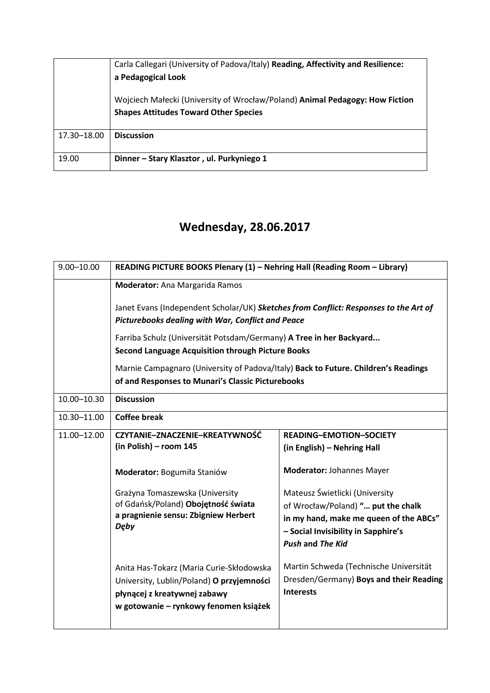|             | Carla Callegari (University of Padova/Italy) Reading, Affectivity and Resilience:<br>a Pedagogical Look                      |  |
|-------------|------------------------------------------------------------------------------------------------------------------------------|--|
|             | Wojciech Małecki (University of Wrocław/Poland) Animal Pedagogy: How Fiction<br><b>Shapes Attitudes Toward Other Species</b> |  |
| 17.30-18.00 | <b>Discussion</b>                                                                                                            |  |
| 19.00       | Dinner - Stary Klasztor, ul. Purkyniego 1                                                                                    |  |

## **Wednesday, 28.06.2017**

| $9.00 - 10.00$ | READING PICTURE BOOKS Plenary (1) - Nehring Hall (Reading Room - Library)                                                                                                                                               |                                                                |  |
|----------------|-------------------------------------------------------------------------------------------------------------------------------------------------------------------------------------------------------------------------|----------------------------------------------------------------|--|
|                | <b>Moderator:</b> Ana Margarida Ramos                                                                                                                                                                                   |                                                                |  |
|                | Janet Evans (Independent Scholar/UK) Sketches from Conflict: Responses to the Art of<br><b>Picturebooks dealing with War, Conflict and Peace</b><br>Farriba Schulz (Universität Potsdam/Germany) A Tree in her Backyard |                                                                |  |
|                |                                                                                                                                                                                                                         |                                                                |  |
|                |                                                                                                                                                                                                                         |                                                                |  |
|                | <b>Second Language Acquisition through Picture Books</b><br>Marnie Campagnaro (University of Padova/Italy) Back to Future. Children's Readings<br>of and Responses to Munari's Classic Picturebooks                     |                                                                |  |
|                |                                                                                                                                                                                                                         |                                                                |  |
|                |                                                                                                                                                                                                                         |                                                                |  |
| 10.00-10.30    | <b>Discussion</b>                                                                                                                                                                                                       |                                                                |  |
| 10.30-11.00    | <b>Coffee break</b>                                                                                                                                                                                                     |                                                                |  |
| 11.00-12.00    | CZYTANIE-ZNACZENIE-KREATYWNOŚĆ                                                                                                                                                                                          | <b>READING-EMOTION-SOCIETY</b>                                 |  |
|                | (in Polish) - room 145                                                                                                                                                                                                  | (in English) - Nehring Hall                                    |  |
|                | Moderator: Bogumiła Staniów                                                                                                                                                                                             | <b>Moderator: Johannes Mayer</b>                               |  |
|                | Grażyna Tomaszewska (University                                                                                                                                                                                         | Mateusz Świetlicki (University                                 |  |
|                | of Gdańsk/Poland) Obojętność świata                                                                                                                                                                                     | of Wrocław/Poland) " put the chalk                             |  |
|                | a pragnienie sensu: Zbigniew Herbert<br><b>Dęby</b>                                                                                                                                                                     | in my hand, make me queen of the ABCs"                         |  |
|                |                                                                                                                                                                                                                         | - Social Invisibility in Sapphire's<br><b>Push and The Kid</b> |  |
|                |                                                                                                                                                                                                                         |                                                                |  |
|                | Anita Has-Tokarz (Maria Curie-Skłodowska                                                                                                                                                                                | Martin Schweda (Technische Universität                         |  |
|                | University, Lublin/Poland) O przyjemności                                                                                                                                                                               | Dresden/Germany) Boys and their Reading                        |  |
|                | płynącej z kreatywnej zabawy                                                                                                                                                                                            | <b>Interests</b>                                               |  |
|                | w gotowanie - rynkowy fenomen książek                                                                                                                                                                                   |                                                                |  |
|                |                                                                                                                                                                                                                         |                                                                |  |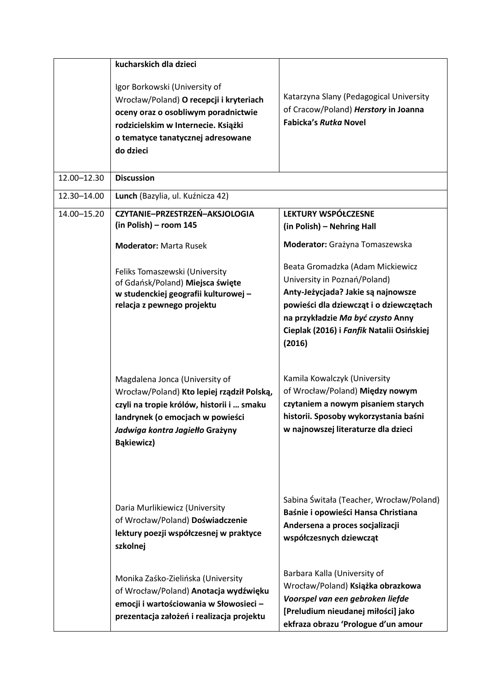|             | kucharskich dla dzieci                                                                                                                                                                                                |                                                                                                                                                                                                                                               |
|-------------|-----------------------------------------------------------------------------------------------------------------------------------------------------------------------------------------------------------------------|-----------------------------------------------------------------------------------------------------------------------------------------------------------------------------------------------------------------------------------------------|
|             | Igor Borkowski (University of<br>Wrocław/Poland) O recepcji i kryteriach<br>oceny oraz o osobliwym poradnictwie<br>rodzicielskim w Internecie. Książki<br>o tematyce tanatycznej adresowane<br>do dzieci              | Katarzyna Slany (Pedagogical University<br>of Cracow/Poland) Herstory in Joanna<br><b>Fabicka's Rutka Novel</b>                                                                                                                               |
| 12.00-12.30 | <b>Discussion</b>                                                                                                                                                                                                     |                                                                                                                                                                                                                                               |
| 12.30-14.00 | Lunch (Bazylia, ul. Kuźnicza 42)                                                                                                                                                                                      |                                                                                                                                                                                                                                               |
| 14.00-15.20 | CZYTANIE-PRZESTRZEŃ-AKSJOLOGIA<br>(in Polish) - room 145<br><b>Moderator: Marta Rusek</b>                                                                                                                             | <b>LEKTURY WSPÓŁCZESNE</b><br>(in Polish) - Nehring Hall<br>Moderator: Grażyna Tomaszewska                                                                                                                                                    |
|             | Feliks Tomaszewski (University<br>of Gdańsk/Poland) Miejsca święte<br>w studenckiej geografii kulturowej -<br>relacja z pewnego projektu                                                                              | Beata Gromadzka (Adam Mickiewicz<br>University in Poznań/Poland)<br>Anty-Jeżycjada? Jakie są najnowsze<br>powieści dla dziewcząt i o dziewczętach<br>na przykładzie Ma być czysto Anny<br>Cieplak (2016) i Fanfik Natalii Osińskiej<br>(2016) |
|             | Magdalena Jonca (University of<br>Wrocław/Poland) Kto lepiej rządził Polską,<br>czyli na tropie królów, historii i  smaku<br>landrynek (o emocjach w powieści<br>Jadwiga kontra Jagiełło Grażyny<br><b>Bąkiewicz)</b> | Kamila Kowalczyk (University<br>of Wrocław/Poland) Między nowym<br>czytaniem a nowym pisaniem starych<br>historii. Sposoby wykorzystania baśni<br>w najnowszej literaturze dla dzieci                                                         |
|             | Daria Murlikiewicz (University<br>of Wrocław/Poland) Doświadczenie<br>lektury poezji współczesnej w praktyce<br>szkolnej                                                                                              | Sabina Świtała (Teacher, Wrocław/Poland)<br>Baśnie i opowieści Hansa Christiana<br>Andersena a proces socjalizacji<br>współczesnych dziewcząt                                                                                                 |
|             | Monika Zaśko-Zielińska (University<br>of Wrocław/Poland) Anotacja wydźwięku<br>emocji i wartościowania w Słowosieci -<br>prezentacja założeń i realizacja projektu                                                    | Barbara Kalla (University of<br>Wrocław/Poland) Książka obrazkowa<br>Voorspel van een gebroken liefde<br>[Preludium nieudanej miłości] jako<br>ekfraza obrazu 'Prologue d'un amour                                                            |